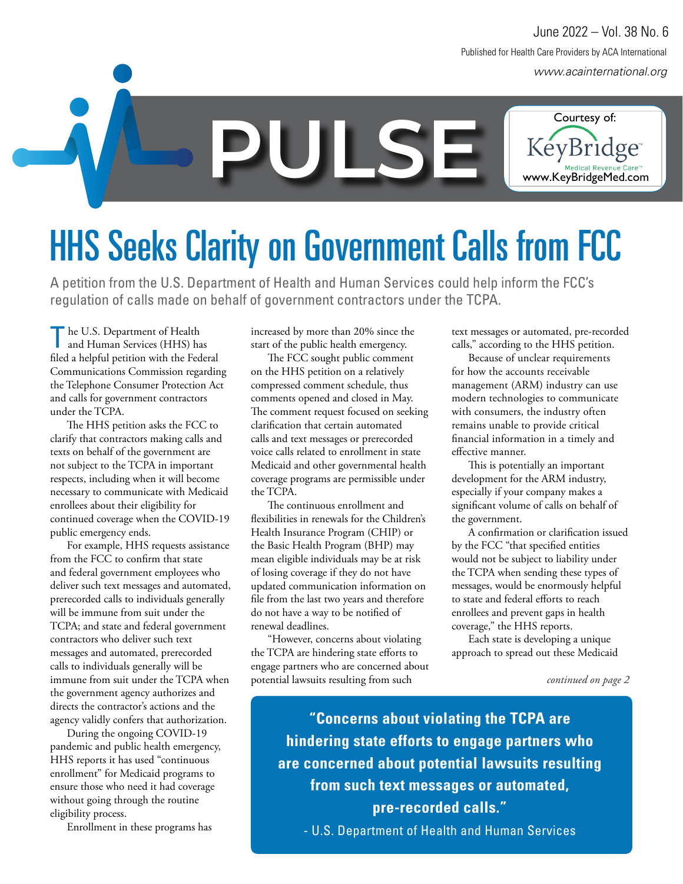*www.acainternational.org* Published for Health Care Providers by ACA International June 2022 – Vol. 38 No. 6



## **HHS Seeks Clarity on Government Calls from FCC**

A petition from the U.S. Department of Health and Human Services could help inform the FCC's regulation of calls made on behalf of government contractors under the TCPA.

he U.S. Department of Health and Human Services (HHS) has filed a helpful petition with the Federal Communications Commission regarding the Telephone Consumer Protection Act and calls for government contractors under the TCPA.

The HHS petition asks the FCC to clarify that contractors making calls and texts on behalf of the government are not subject to the TCPA in important respects, including when it will become necessary to communicate with Medicaid enrollees about their eligibility for continued coverage when the COVID-19 public emergency ends.

For example, HHS requests assistance from the FCC to confirm that state and federal government employees who deliver such text messages and automated, prerecorded calls to individuals generally will be immune from suit under the TCPA; and state and federal government contractors who deliver such text messages and automated, prerecorded calls to individuals generally will be immune from suit under the TCPA when the government agency authorizes and directs the contractor's actions and the agency validly confers that authorization.

During the ongoing COVID-19 pandemic and public health emergency, HHS reports it has used "continuous enrollment" for Medicaid programs to ensure those who need it had coverage without going through the routine eligibility process.

Enrollment in these programs has

increased by more than 20% since the start of the public health emergency.

The FCC sought public comment on the HHS petition on a relatively compressed comment schedule, thus comments opened and closed in May. The comment request focused on seeking clarification that certain automated calls and text messages or prerecorded voice calls related to enrollment in state Medicaid and other governmental health coverage programs are permissible under the TCPA.

The continuous enrollment and flexibilities in renewals for the Children's Health Insurance Program (CHIP) or the Basic Health Program (BHP) may mean eligible individuals may be at risk of losing coverage if they do not have updated communication information on file from the last two years and therefore do not have a way to be notified of renewal deadlines.

"However, concerns about violating the TCPA are hindering state efforts to engage partners who are concerned about potential lawsuits resulting from such

text messages or automated, pre-recorded calls," according to the HHS petition.

Because of unclear requirements for how the accounts receivable management (ARM) industry can use modern technologies to communicate with consumers, the industry often remains unable to provide critical financial information in a timely and effective manner.

This is potentially an important development for the ARM industry, especially if your company makes a significant volume of calls on behalf of the government.

A confirmation or clarification issued by the FCC "that specified entities would not be subject to liability under the TCPA when sending these types of messages, would be enormously helpful to state and federal efforts to reach enrollees and prevent gaps in health coverage," the HHS reports.

Each state is developing a unique approach to spread out these Medicaid

*continued on page 2*

**"Concerns about violating the TCPA are hindering state efforts to engage partners who are concerned about potential lawsuits resulting from such text messages or automated, pre-recorded calls."**

- U.S. Department of Health and Human Services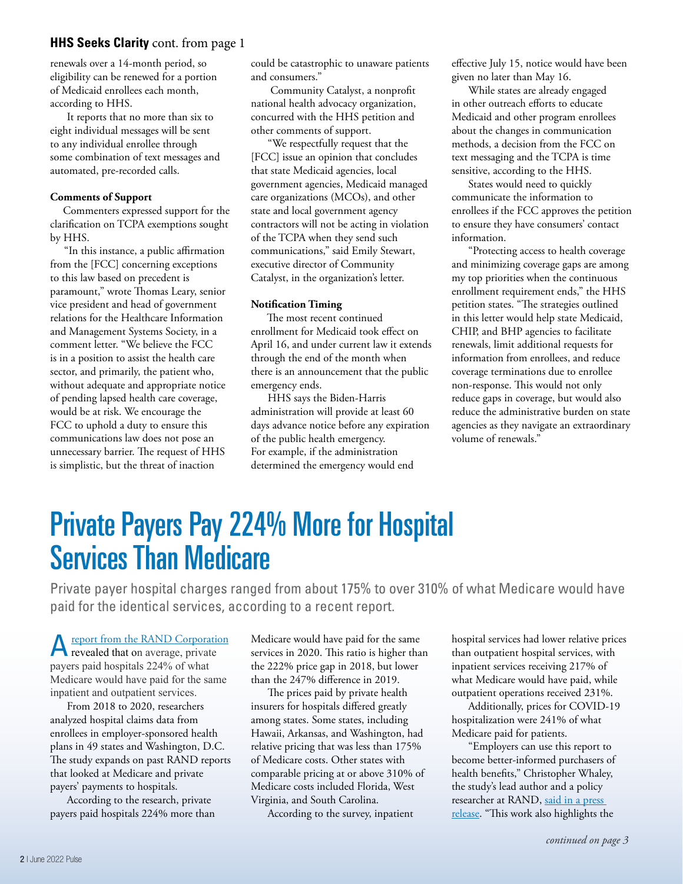#### **HHS Seeks Clarity** cont. from page 1

renewals over a 14-month period, so eligibility can be renewed for a portion of Medicaid enrollees each month, according to HHS.

It reports that no more than six to eight individual messages will be sent to any individual enrollee through some combination of text messages and automated, pre-recorded calls.

#### **Comments of Support**

Commenters expressed support for the clarification on TCPA exemptions sought by HHS.

 "In this instance, a public affirmation from the [FCC] concerning exceptions to this law based on precedent is paramount," wrote Thomas Leary, senior vice president and head of government relations for the Healthcare Information and Management Systems Society, in a comment letter. "We believe the FCC is in a position to assist the health care sector, and primarily, the patient who, without adequate and appropriate notice of pending lapsed health care coverage, would be at risk. We encourage the FCC to uphold a duty to ensure this communications law does not pose an unnecessary barrier. The request of HHS is simplistic, but the threat of inaction

could be catastrophic to unaware patients and consumers.'

 Community Catalyst, a nonprofit national health advocacy organization, concurred with the HHS petition and other comments of support.

"We respectfully request that the [FCC] issue an opinion that concludes that state Medicaid agencies, local government agencies, Medicaid managed care organizations (MCOs), and other state and local government agency contractors will not be acting in violation of the TCPA when they send such communications," said Emily Stewart, executive director of Community Catalyst, in the organization's letter.

#### **Notification Timing**

The most recent continued enrollment for Medicaid took effect on April 16, and under current law it extends through the end of the month when there is an announcement that the public emergency ends.

HHS says the Biden-Harris administration will provide at least 60 days advance notice before any expiration of the public health emergency. For example, if the administration determined the emergency would end

effective July 15, notice would have been given no later than May 16.

While states are already engaged in other outreach efforts to educate Medicaid and other program enrollees about the changes in communication methods, a decision from the FCC on text messaging and the TCPA is time sensitive, according to the HHS.

States would need to quickly communicate the information to enrollees if the FCC approves the petition to ensure they have consumers' contact information.

"Protecting access to health coverage and minimizing coverage gaps are among my top priorities when the continuous enrollment requirement ends," the HHS petition states. "The strategies outlined in this letter would help state Medicaid, CHIP, and BHP agencies to facilitate renewals, limit additional requests for information from enrollees, and reduce coverage terminations due to enrollee non-response. This would not only reduce gaps in coverage, but would also reduce the administrative burden on state agencies as they navigate an extraordinary volume of renewals."

### Private Payers Pay 224% More for Hospital Services Than Medicare

Private payer hospital charges ranged from about 175% to over 310% of what Medicare would have paid for the identical services, according to a recent report.

Areport from the RAND Corporation revealed that on average, private payers paid hospitals 224% of what Medicare would have paid for the same inpatient and outpatient services.

From 2018 to 2020, researchers analyzed hospital claims data from enrollees in employer-sponsored health plans in 49 states and Washington, D.C. The study expands on past RAND reports that looked at Medicare and private payers' payments to hospitals.

According to the research, private payers paid hospitals 224% more than Medicare would have paid for the same services in 2020. This ratio is higher than the 222% price gap in 2018, but lower than the 247% difference in 2019.

The prices paid by private health insurers for hospitals differed greatly among states. Some states, including Hawaii, Arkansas, and Washington, had relative pricing that was less than 175% of Medicare costs. Other states with comparable pricing at or above 310% of Medicare costs included Florida, West Virginia, and South Carolina.

According to the survey, inpatient

hospital services had lower relative prices than outpatient hospital services, with inpatient services receiving 217% of what Medicare would have paid, while outpatient operations received 231%.

Additionally, prices for COVID-19 hospitalization were 241% of what Medicare paid for patients.

"Employers can use this report to become better-informed purchasers of health benefits," Christopher Whaley, the study's lead author and a policy researcher at RAND, said in a press release. "This work also highlights the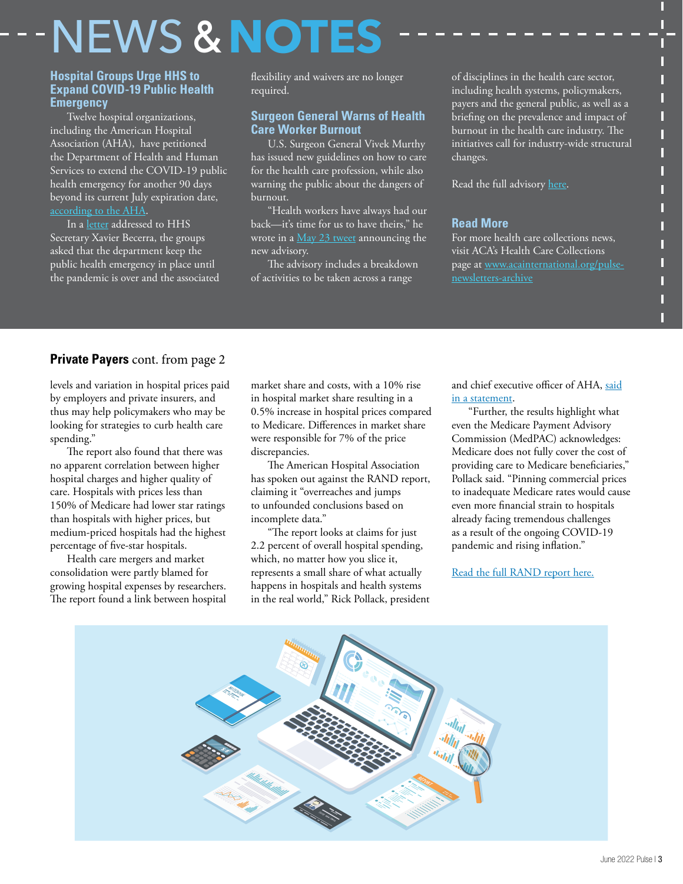# $NEWS$  &  $NOT$

#### **Hospital Groups Urge HHS to Expand COVID-19 Public Health Emergency**

Twelve hospital organizations, including the American Hospital Association (AHA), have petitioned the Department of Health and Human Services to extend the COVID-19 public health emergency for another 90 days beyond its current July expiration date, according to the AHA.

In a letter addressed to HHS Secretary Xavier Becerra, the groups asked that the department keep the public health emergency in place until the pandemic is over and the associated flexibility and waivers are no longer required.

#### **Surgeon General Warns of Health Care Worker Burnout**

U.S. Surgeon General Vivek Murthy has issued new guidelines on how to care for the health care profession, while also warning the public about the dangers of burnout.

"Health workers have always had our back—it's time for us to have theirs," he wrote in a May 23 tweet announcing the new advisory.

The advisory includes a breakdown of activities to be taken across a range

of disciplines in the health care sector, including health systems, policymakers, payers and the general public, as well as a briefing on the prevalence and impact of burnout in the health care industry. The initiatives call for industry-wide structural changes.

П П П

Read the full advisory here.

#### **Read More**

For more health care collections news, visit ACA's Health Care Collections page at www.acainternational.org/pulsenewsletters-archive

#### **Private Payers** cont. from page 2

levels and variation in hospital prices paid by employers and private insurers, and thus may help policymakers who may be looking for strategies to curb health care spending."

The report also found that there was no apparent correlation between higher hospital charges and higher quality of care. Hospitals with prices less than 150% of Medicare had lower star ratings than hospitals with higher prices, but medium-priced hospitals had the highest percentage of five-star hospitals.

Health care mergers and market consolidation were partly blamed for growing hospital expenses by researchers. The report found a link between hospital

market share and costs, with a 10% rise in hospital market share resulting in a 0.5% increase in hospital prices compared to Medicare. Differences in market share were responsible for 7% of the price discrepancies.

The American Hospital Association has spoken out against the RAND report, claiming it "overreaches and jumps to unfounded conclusions based on incomplete data."

"The report looks at claims for just 2.2 percent of overall hospital spending, which, no matter how you slice it, represents a small share of what actually happens in hospitals and health systems in the real world," Rick Pollack, president and chief executive officer of AHA, said in a statement.

"Further, the results highlight what even the Medicare Payment Advisory Commission (MedPAC) acknowledges: Medicare does not fully cover the cost of providing care to Medicare beneficiaries," Pollack said. "Pinning commercial prices to inadequate Medicare rates would cause even more financial strain to hospitals already facing tremendous challenges as a result of the ongoing COVID-19 pandemic and rising inflation."

Read the full RAND report here.